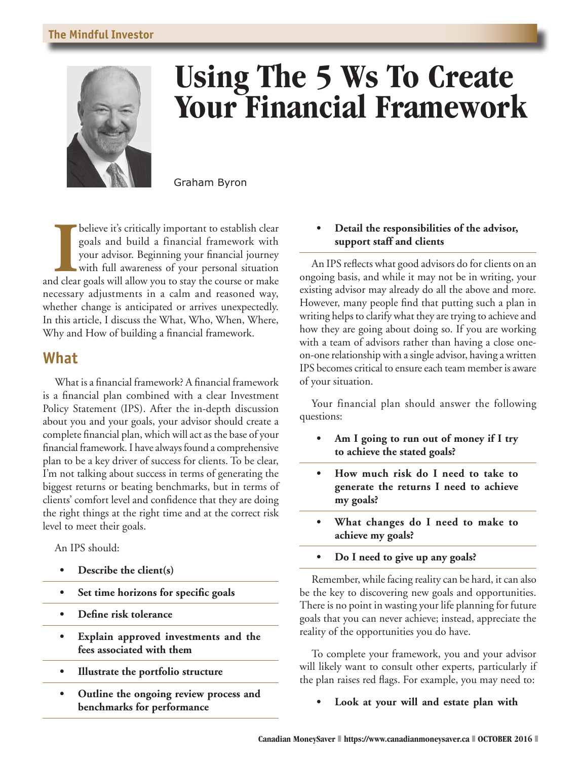#### **The Mindful Investor**



# **Using The 5 Ws To Create Your Financial Framework**

Graham Byron

**I** believe it's critically important to establish clear goals and build a financial framework with your advisor. Beginning your financial journey with full awareness of your personal situation and clear goals will allow y believe it's critically important to establish clear goals and build a financial framework with your advisor. Beginning your financial journey with full awareness of your personal situation necessary adjustments in a calm and reasoned way, whether change is anticipated or arrives unexpectedly. In this article, I discuss the What, Who, When, Where, Why and How of building a financial framework.

# **What**

What is a financial framework? A financial framework is a financial plan combined with a clear Investment Policy Statement (IPS). After the in-depth discussion about you and your goals, your advisor should create a complete financial plan, which will act as the base of your financial framework. I have always found a comprehensive plan to be a key driver of success for clients. To be clear, I'm not talking about success in terms of generating the biggest returns or beating benchmarks, but in terms of clients' comfort level and confidence that they are doing the right things at the right time and at the correct risk level to meet their goals.

An IPS should:

- **• Describe the client(s)**
- **• Set time horizons for specific goals**
- **• Define risk tolerance**
- **• Explain approved investments and the fees associated with them**
- **• Illustrate the portfolio structure**
- **• Outline the ongoing review process and benchmarks for performance**

#### **• Detail the responsibilities of the advisor, support staff and clients**

An IPS reflects what good advisors do for clients on an ongoing basis, and while it may not be in writing, your existing advisor may already do all the above and more. However, many people find that putting such a plan in writing helps to clarify what they are trying to achieve and how they are going about doing so. If you are working with a team of advisors rather than having a close oneon-one relationship with a single advisor, having a written IPS becomes critical to ensure each team member is aware of your situation.

Your financial plan should answer the following questions:

- **• Am I going to run out of money if I try to achieve the stated goals?**
- **• How much risk do I need to take to generate the returns I need to achieve my goals?**
- **• What changes do I need to make to achieve my goals?**
- **• Do I need to give up any goals?**

Remember, while facing reality can be hard, it can also be the key to discovering new goals and opportunities. There is no point in wasting your life planning for future goals that you can never achieve; instead, appreciate the reality of the opportunities you do have.

To complete your framework, you and your advisor will likely want to consult other experts, particularly if the plan raises red flags. For example, you may need to:

**• Look at your will and estate plan with**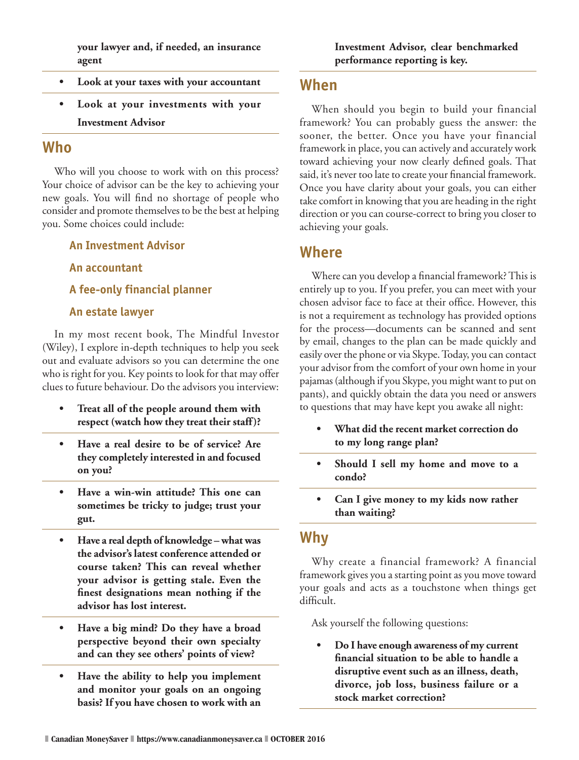**your lawyer and, if needed, an insurance agent**

- **• Look at your taxes with your accountant**
- **• Look at your investments with your Investment Advisor**

# **Who**

Who will you choose to work with on this process? Your choice of advisor can be the key to achieving your new goals. You will find no shortage of people who consider and promote themselves to be the best at helping you. Some choices could include:

#### **An Investment Advisor**

**An accountant**

**A fee-only financial planner**

#### **An estate lawyer**

In my most recent book, The Mindful Investor (Wiley), I explore in-depth techniques to help you seek out and evaluate advisors so you can determine the one who is right for you. Key points to look for that may offer clues to future behaviour. Do the advisors you interview:

- **• Treat all of the people around them with respect (watch how they treat their staff)?**
- **• Have a real desire to be of service? Are they completely interested in and focused on you?**
- **• Have a win-win attitude? This one can sometimes be tricky to judge; trust your gut.**
- **• Have a real depth of knowledge what was the advisor's latest conference attended or course taken? This can reveal whether your advisor is getting stale. Even the finest designations mean nothing if the advisor has lost interest.**
- **• Have a big mind? Do they have a broad perspective beyond their own specialty and can they see others' points of view?**
- **• Have the ability to help you implement and monitor your goals on an ongoing basis? If you have chosen to work with an**

## **When**

When should you begin to build your financial framework? You can probably guess the answer: the sooner, the better. Once you have your financial framework in place, you can actively and accurately work toward achieving your now clearly defined goals. That said, it's never too late to create your financial framework. Once you have clarity about your goals, you can either take comfort in knowing that you are heading in the right direction or you can course-correct to bring you closer to achieving your goals.

## **Where**

Where can you develop a financial framework? This is entirely up to you. If you prefer, you can meet with your chosen advisor face to face at their office. However, this is not a requirement as technology has provided options for the process—documents can be scanned and sent by email, changes to the plan can be made quickly and easily over the phone or via Skype. Today, you can contact your advisor from the comfort of your own home in your pajamas (although if you Skype, you might want to put on pants), and quickly obtain the data you need or answers to questions that may have kept you awake all night:

- **• What did the recent market correction do to my long range plan?**
- **• Should I sell my home and move to a condo?**
- **• Can I give money to my kids now rather than waiting?**

## **Why**

Why create a financial framework? A financial framework gives you a starting point as you move toward your goals and acts as a touchstone when things get difficult.

Ask yourself the following questions:

**• Do I have enough awareness of my current financial situation to be able to handle a disruptive event such as an illness, death, divorce, job loss, business failure or a stock market correction?**